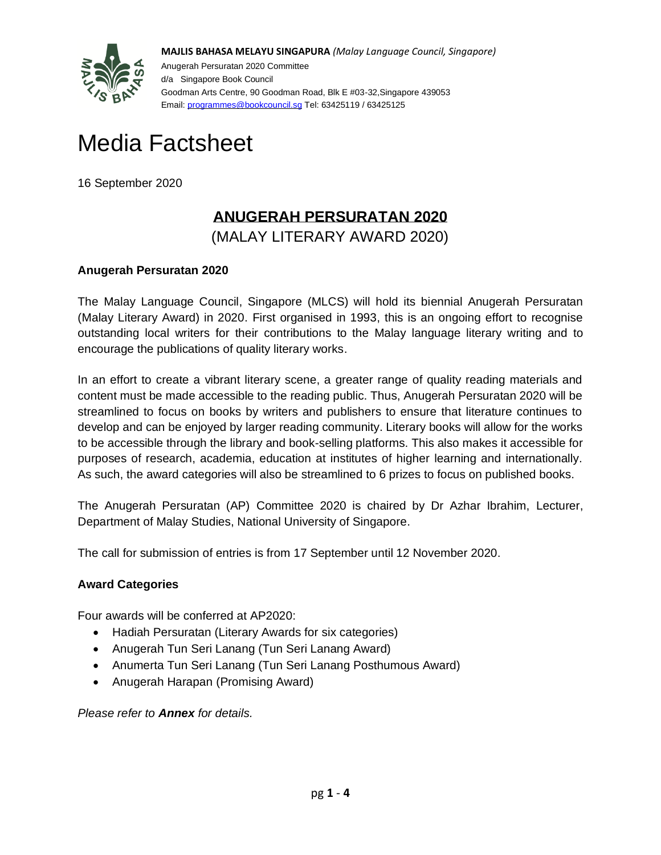

**MAJLIS BAHASA MELAYU SINGAPURA** *(Malay Language Council, Singapore)* Anugerah Persuratan 2020 Committee d/a Singapore Book Council Goodman Arts Centre, 90 Goodman Road, Blk E #03-32,Singapore 439053 Email: [programmes@bookcouncil.sg](mailto:programmes@bookcouncil.sg) Tel: 63425119 / 63425125

# Media Factsheet

16 September 2020

# **ANUGERAH PERSURATAN 2020**

(MALAY LITERARY AWARD 2020)

### **Anugerah Persuratan 2020**

The Malay Language Council, Singapore (MLCS) will hold its biennial Anugerah Persuratan (Malay Literary Award) in 2020. First organised in 1993, this is an ongoing effort to recognise outstanding local writers for their contributions to the Malay language literary writing and to encourage the publications of quality literary works.

In an effort to create a vibrant literary scene, a greater range of quality reading materials and content must be made accessible to the reading public. Thus, Anugerah Persuratan 2020 will be streamlined to focus on books by writers and publishers to ensure that literature continues to develop and can be enjoyed by larger reading community. Literary books will allow for the works to be accessible through the library and book-selling platforms. This also makes it accessible for purposes of research, academia, education at institutes of higher learning and internationally. As such, the award categories will also be streamlined to 6 prizes to focus on published books.

The Anugerah Persuratan (AP) Committee 2020 is chaired by Dr Azhar Ibrahim, Lecturer, Department of Malay Studies, National University of Singapore.

The call for submission of entries is from 17 September until 12 November 2020.

#### **Award Categories**

Four awards will be conferred at AP2020:

- Hadiah Persuratan (Literary Awards for six categories)
- Anugerah Tun Seri Lanang (Tun Seri Lanang Award)
- Anumerta Tun Seri Lanang (Tun Seri Lanang Posthumous Award)
- Anugerah Harapan (Promising Award)

*Please refer to Annex for details.*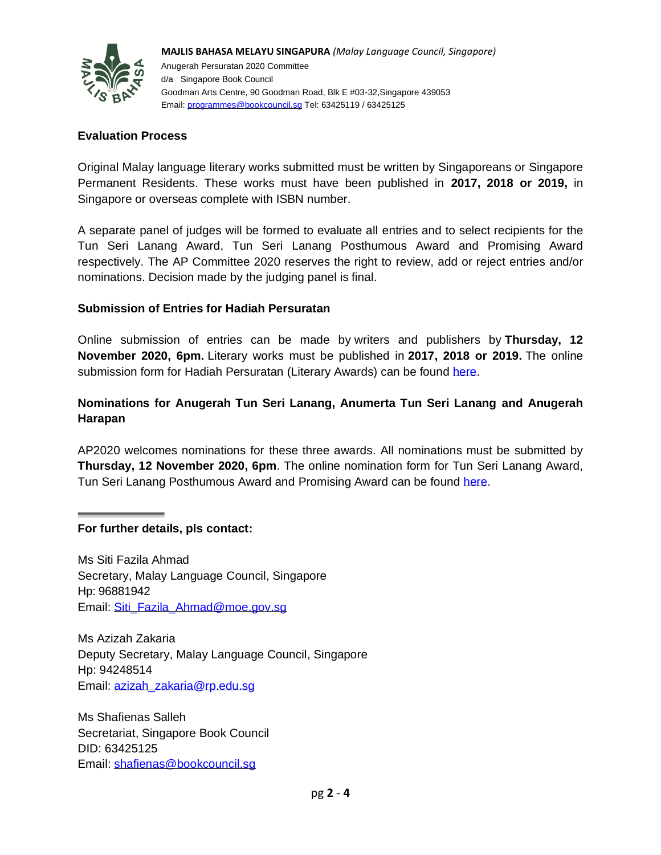

**MAJLIS BAHASA MELAYU SINGAPURA** *(Malay Language Council, Singapore)* Anugerah Persuratan 2020 Committee d/a Singapore Book Council Goodman Arts Centre, 90 Goodman Road, Blk E #03-32,Singapore 439053 Email: [programmes@bookcouncil.sg](mailto:programmes@bookcouncil.sg) Tel: 63425119 / 63425125

#### **Evaluation Process**

Original Malay language literary works submitted must be written by Singaporeans or Singapore Permanent Residents. These works must have been published in **2017, 2018 or 2019,** in Singapore or overseas complete with ISBN number.

A separate panel of judges will be formed to evaluate all entries and to select recipients for the Tun Seri Lanang Award, Tun Seri Lanang Posthumous Award and Promising Award respectively. The AP Committee 2020 reserves the right to review, add or reject entries and/or nominations. Decision made by the judging panel is final.

#### **Submission of Entries for Hadiah Persuratan**

Online submission of entries can be made by writers and publishers by **Thursday, 12 November 2020, 6pm.** Literary works must be published in **2017, 2018 or 2019.** The online submission form for Hadiah Persuratan (Literary Awards) can be found [here.](https://penghantarankarya-ap2020.paperform.co/)

#### **Nominations for Anugerah Tun Seri Lanang, Anumerta Tun Seri Lanang and Anugerah Harapan**

AP2020 welcomes nominations for these three awards. All nominations must be submitted by **Thursday, 12 November 2020, 6pm**. The online nomination form for Tun Seri Lanang Award, Tun Seri Lanang Posthumous Award and Promising Award can be found [here.](https://pencalonan-ap2020.paperform.co/)

**For further details, pls contact:** 

Ms Siti Fazila Ahmad Secretary, Malay Language Council, Singapore Hp: 96881942 Email: [Siti\\_Fazila\\_Ahmad@moe.gov.sg](mailto:Siti_Fazila_Ahmad@moe.gov.sg)

Ms Azizah Zakaria Deputy Secretary, Malay Language Council, Singapore Hp: 94248514 Email: [azizah\\_zakaria@rp.edu.sg](mailto:azizah_zakaria@rp.edu.sg)

Ms Shafienas Salleh Secretariat, Singapore Book Council DID: 63425125 Email: [shafienas@bookcouncil.sg](mailto:shafienas@bookcouncil.sg)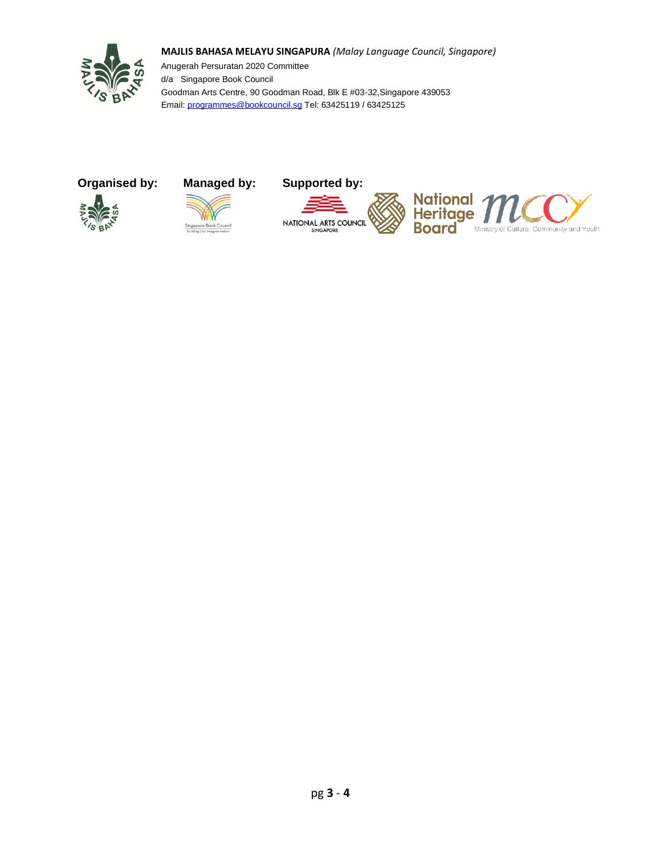



Anugerah Persuratan 2020 Committee d/a Singapore Book Council Goodman Arts Centre, 90 Goodman Road, Blk E #03-32,Singapore 439053 Email: [programmes@bookcouncil.sg](mailto:programmes@bookcouncil.sg) Tel: 63425119 / 63425125

## **Organised by: Managed by: Supported by:**





NATIONAL ARTS COUNCIL SINGAPORE